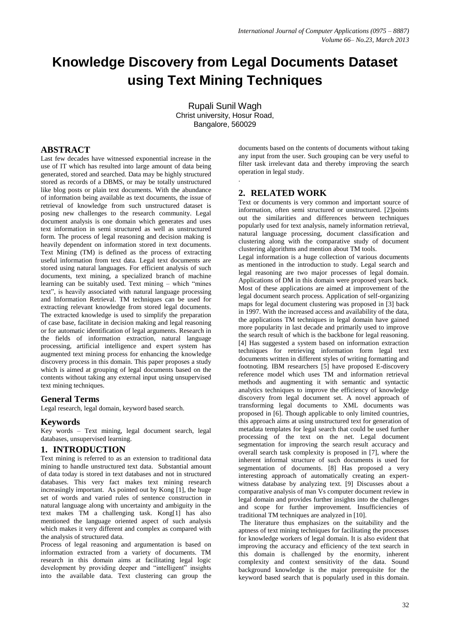# **Knowledge Discovery from Legal Documents Dataset using Text Mining Techniques**

Rupali Sunil Wagh Christ university, Hosur Road, Bangalore, 560029

.

## **ABSTRACT**

Last few decades have witnessed exponential increase in the use of IT which has resulted into large amount of data being generated, stored and searched. Data may be highly structured stored as records of a DBMS, or may be totally unstructured like blog posts or plain text documents. With the abundance of information being available as text documents, the issue of retrieval of knowledge from such unstructured dataset is posing new challenges to the research community. Legal document analysis is one domain which generates and uses text information in semi structured as well as unstructured form. The process of legal reasoning and decision making is heavily dependent on information stored in text documents. Text Mining (TM) is defined as the process of extracting useful information from text data. Legal text documents are stored using natural languages. For efficient analysis of such documents, text mining, a specialized branch of machine learning can be suitably used. Text mining – which "mines text", is heavily associated with natural language processing and Information Retrieval. TM techniques can be used for extracting relevant knowledge from stored legal documents. The extracted knowledge is used to simplify the preparation of case base, facilitate in decision making and legal reasoning or for automatic identification of legal arguments. Research in the fields of information extraction, natural language processing, artificial intelligence and expert system has augmented text mining process for enhancing the knowledge discovery process in this domain. This paper proposes a study which is aimed at grouping of legal documents based on the contents without taking any external input using unsupervised text mining techniques.

## **General Terms**

Legal research, legal domain, keyword based search.

#### **Keywords**

Key words – Text mining, legal document search, legal databases, unsupervised learning.

## **1. INTRODUCTION**

Text mining is referred to as an extension to traditional data mining to handle unstructured text data. Substantial amount of data today is stored in text databases and not in structured databases. This very fact makes text mining research increasingly important. As pointed out by Kong [1], the huge set of words and varied rules of sentence construction in natural language along with uncertainty and ambiguity in the text makes TM a challenging task. Kong[1] has also mentioned the language oriented aspect of such analysis which makes it very different and complex as compared with the analysis of structured data.

Process of legal reasoning and argumentation is based on information extracted from a variety of documents. TM research in this domain aims at facilitating legal logic development by providing deeper and "intelligent" insights into the available data. Text clustering can group the documents based on the contents of documents without taking any input from the user. Such grouping can be very useful to filter task irrelevant data and thereby improving the search operation in legal study.

## **2. RELATED WORK**

Text or documents is very common and important source of information, often semi structured or unstructured. [2]points out the similarities and differences between techniques popularly used for text analysis, namely information retrieval, natural language processing, document classification and clustering along with the comparative study of document clustering algorithms and mention about TM tools.

Legal information is a huge collection of various documents as mentioned in the introduction to study. Legal search and legal reasoning are two major processes of legal domain. Applications of DM in this domain were proposed years back. Most of these applications are aimed at improvement of the legal document search process. Application of self-organizing maps for legal document clustering was proposed in [3] back in 1997. With the increased access and availability of the data, the applications TM techniques in legal domain have gained more popularity in last decade and primarily used to improve the search result of which is the backbone for legal reasoning. [4] Has suggested a system based on information extraction techniques for retrieving information form legal text documents written in different styles of writing formatting and footnoting. IBM researchers [5] have proposed E-discovery reference model which uses TM and information retrieval methods and augmenting it with semantic and syntactic analytics techniques to improve the efficiency of knowledge discovery from legal document set. A novel approach of transforming legal documents to XML documents was proposed in [6]. Though applicable to only limited countries, this approach aims at using unstructured text for generation of metadata templates for legal search that could be used further processing of the text on the net. Legal document segmentation for improving the search result accuracy and overall search task complexity is proposed in [7], where the inherent informal structure of such documents is used for segmentation of documents. [8] Has proposed a very interesting approach of automatically creating an expertwitness database by analyzing text. [9] Discusses about a comparative analysis of man Vs computer document review in legal domain and provides further insights into the challenges and scope for further improvement. Insufficiencies of traditional TM techniques are analyzed in [10].

The literature thus emphasizes on the suitability and the aptness of text mining techniques for facilitating the processes for knowledge workers of legal domain. It is also evident that improving the accuracy and efficiency of the text search in this domain is challenged by the enormity, inherent complexity and context sensitivity of the data. Sound background knowledge is the major prerequisite for the keyword based search that is popularly used in this domain.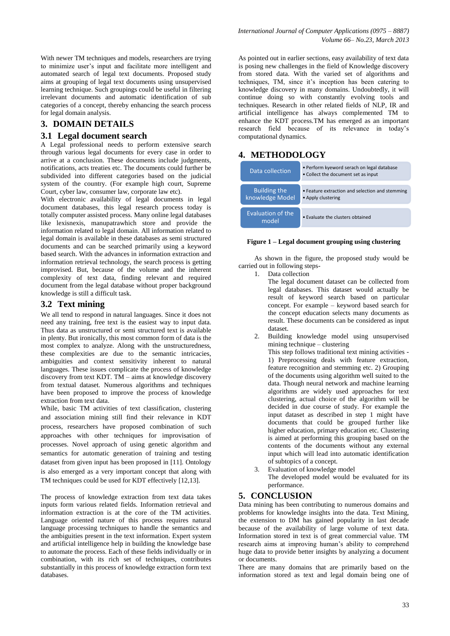With newer TM techniques and models, researchers are trying to minimize user's input and facilitate more intelligent and automated search of legal text documents. Proposed study aims at grouping of legal text documents using unsupervised learning technique. Such groupings could be useful in filtering irrelevant documents and automatic identification of sub categories of a concept, thereby enhancing the search process for legal domain analysis.

## **3. DOMAIN DETAILS**

#### **3.1 Legal document search**

A Legal professional needs to perform extensive search through various legal documents for every case in order to arrive at a conclusion. These documents include judgments, notifications, acts treaties etc. The documents could further be subdivided into different categories based on the judicial system of the country. (For example high court, Supreme Court, cyber law, consumer law, corporate law etc).

With electronic availability of legal documents in legal document databases, this legal research process today is totally computer assisted process. Many online legal databases like lexisnexis, manupatrawhich store and provide the information related to legal domain. All information related to legal domain is available in these databases as semi structured documents and can be searched primarily using a keyword based search. With the advances in information extraction and information retrieval technology, the search process is getting improvised. But, because of the volume and the inherent complexity of text data, finding relevant and required document from the legal database without proper background knowledge is still a difficult task.

#### **3.2 Text mining**

We all tend to respond in natural languages. Since it does not need any training, free text is the easiest way to input data. Thus data as unstructured or semi structured text is available in plenty. But ironically, this most common form of data is the most complex to analyze. Along with the unstructuredness, these complexities are due to the semantic intricacies, ambiguities and context sensitivity inherent to natural languages. These issues complicate the process of knowledge discovery from text KDT. TM – aims at knowledge discovery from textual dataset. Numerous algorithms and techniques have been proposed to improve the process of knowledge extraction from text data.

While, basic TM activities of text classification, clustering and association mining still find their relevance in KDT process, researchers have proposed combination of such approaches with other techniques for improvisation of processes. Novel approach of using genetic algorithm and semantics for automatic generation of training and testing dataset from given input has been proposed in [11]. Ontology is also emerged as a very important concept that along with TM techniques could be used for KDT effectively [12,13].

The process of knowledge extraction from text data takes inputs form various related fields. Information retrieval and information extraction is at the core of the TM activities. Language oriented nature of this process requires natural language processing techniques to handle the semantics and the ambiguities present in the text information. Expert system and artificial intelligence help in building the knowledge base to automate the process. Each of these fields individually or in combination, with its rich set of techniques, contributes substantially in this process of knowledge extraction form text databases.

As pointed out in earlier sections, easy availability of text data is posing new challenges in the field of Knowledge discovery from stored data. With the varied set of algorithms and techniques, TM, since it's inception has been catering to knowledge discovery in many domains. Undoubtedly, it will continue doing so with constantly evolving tools and techniques. Research in other related fields of NLP, IR and artificial intelligence has always complemented TM to enhance the KDT process.TM has emerged as an important research field because of its relevance in today's computational dynamics.

## **4. METHODOLOGY**

| Data collection                        | • Perform kyeword serach on legal database<br>• Collect the document set as input |
|----------------------------------------|-----------------------------------------------------------------------------------|
| <b>Building the</b><br>knowledge Model | • Feature extraction and selection and stemming<br>• Apply clustering             |
| Evaluation of the<br>model             | . Evaluate the clusters obtained                                                  |

#### **Figure 1 – Legal document grouping using clustering**

As shown in the figure, the proposed study would be carried out in following steps-

- 1. Data collection
	- The legal document dataset can be collected from legal databases. This dataset would actually be result of keyword search based on particular concept. For example – keyword based search for the concept education selects many documents as result. These documents can be considered as input dataset.
- 2. Building knowledge model using unsupervised mining technique – clustering This step follows traditional text mining activities - 1) Preprocessing deals with feature extraction, feature recognition and stemming etc. 2) Grouping of the documents using algorithm well suited to the data. Though neural network and machine learning algorithms are widely used approaches for text clustering, actual choice of the algorithm will be decided in due course of study. For example the input dataset as described in step 1 might have documents that could be grouped further like higher education, primary education etc. Clustering is aimed at performing this grouping based on the contents of the documents without any external input which will lead into automatic identification of subtopics of a concept.
- 3. Evaluation of knowledge model The developed model would be evaluated for its performance.

## **5. CONCLUSION**

Data mining has been contributing to numerous domains and problems for knowledge insights into the data. Text Mining, the extension to DM has gained popularity in last decade because of the availability of large volume of text data. Information stored in text is of great commercial value. TM research aims at improving human's ability to comprehend huge data to provide better insights by analyzing a document or documents.

There are many domains that are primarily based on the information stored as text and legal domain being one of